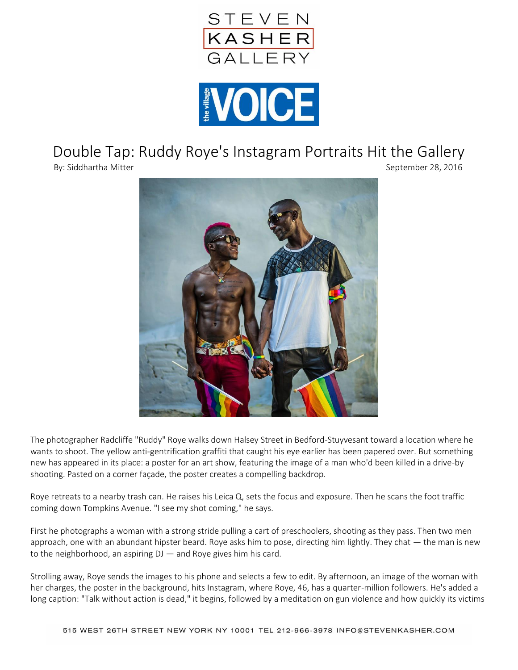



## Double Tap: Ruddy Roye's Instagram Portraits Hit the Gallery

By: Siddhartha Mitter September 28, 2016



The photographer Radcliffe "Ruddy" Roye walks down Halsey Street in Bedford-Stuyvesant toward a location where he wants to shoot. The yellow anti-gentrification graffiti that caught his eye earlier has been papered over. But something new has appeared in its place: a poster for an art show, featuring the image of a man who'd been killed in a drive-by shooting. Pasted on a corner façade, the poster creates a compelling backdrop.

Roye retreats to a nearby trash can. He raises his Leica Q, sets the focus and exposure. Then he scans the foot traffic coming down Tompkins Avenue. "I see my shot coming," he says.

First he photographs a woman with a strong stride pulling a cart of preschoolers, shooting as they pass. Then two men approach, one with an abundant hipster beard. Roye asks him to pose, directing him lightly. They chat  $-$  the man is new to the neighborhood, an aspiring  $DJ$  — and Roye gives him his card.

Strolling away, Roye sends the images to his phone and selects a few to edit. By afternoon, an image of the woman with her charges, the poster in the background, hits Instagram, where Roye, 46, has a quarter-million followers. He's added a long caption: "Talk without action is dead," it begins, followed by a meditation on gun violence and how quickly its victims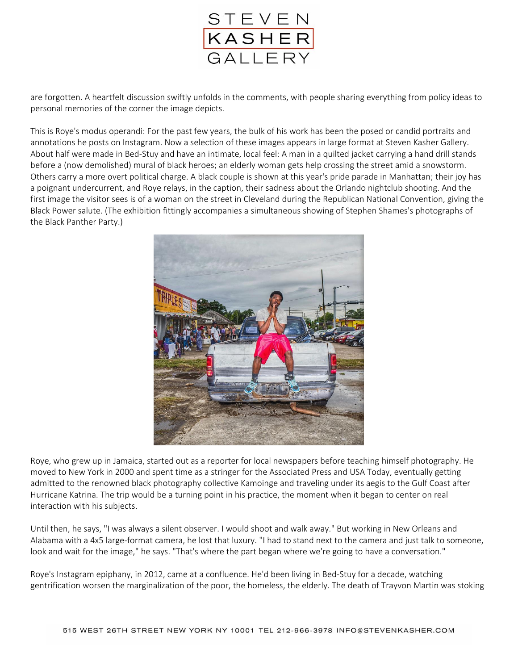

are forgotten. A heartfelt discussion swiftly unfolds in the comments, with people sharing everything from policy ideas to personal memories of the corner the image depicts.

This is Roye's modus operandi: For the past few years, the bulk of his work has been the posed or candid portraits and annotations he posts on Instagram. Now a selection of these images appears in large format at Steven Kasher Gallery. About half were made in Bed-Stuy and have an intimate, local feel: A man in a quilted jacket carrying a hand drill stands before a (now demolished) mural of black heroes; an elderly woman gets help crossing the street amid a snowstorm. Others carry a more overt political charge. A black couple is shown at this year's pride parade in Manhattan; their joy has a poignant undercurrent, and Roye relays, in the caption, their sadness about the Orlando nightclub shooting. And the first image the visitor sees is of a woman on the street in Cleveland during the Republican National Convention, giving the Black Power salute. (The exhibition fittingly accompanies a simultaneous showing of Stephen Shames's photographs of the Black Panther Party.)



Roye, who grew up in Jamaica, started out as a reporter for local newspapers before teaching himself photography. He moved to New York in 2000 and spent time as a stringer for the Associated Press and USA Today, eventually getting admitted to the renowned black photography collective Kamoinge and traveling under its aegis to the Gulf Coast after Hurricane Katrina. The trip would be a turning point in his practice, the moment when it began to center on real interaction with his subjects.

Until then, he says, "I was always a silent observer. I would shoot and walk away." But working in New Orleans and Alabama with a 4x5 large-format camera, he lost that luxury. "I had to stand next to the camera and just talk to someone, look and wait for the image," he says. "That's where the part began where we're going to have a conversation."

Roye's Instagram epiphany, in 2012, came at a confluence. He'd been living in Bed-Stuy for a decade, watching gentrification worsen the marginalization of the poor, the homeless, the elderly. The death of Trayvon Martin was stoking